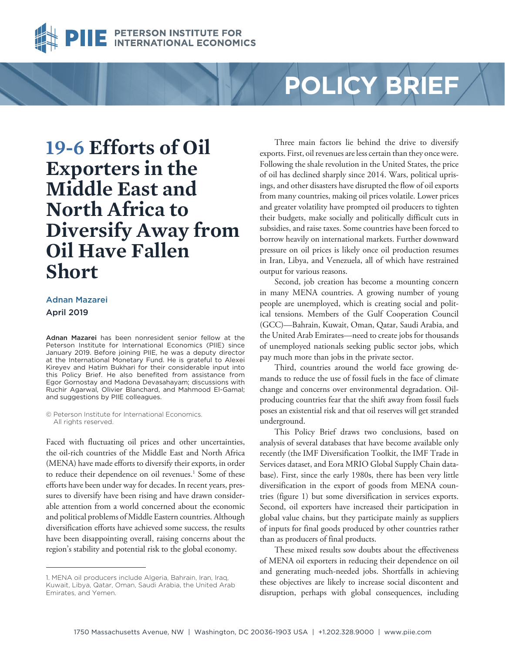

# **POLICY BRIEF**

**19-6 Efforts of Oil Exporters in the Middle East and North Africa to Diversify Away from Oil Have Fallen Short** 

## [Adnan Mazarei](https://piie.com/experts/senior-research-staff/adnan-mazarei) April 2019

Adnan Mazarei has been nonresident senior fellow at the Peterson Institute for International Economics (PIIE) since January 2019. Before joining PIIE, he was a deputy director at the International Monetary Fund. He is grateful to Alexei Kireyev and Hatim Bukhari for their considerable input into this Policy Brief. He also benefited from assistance from Egor Gornostay and Madona Devasahayam; discussions with Ruchir Agarwal, Olivier Blanchard, and Mahmood El-Gamal; and suggestions by PIIE colleagues.

© Peterson Institute for International Economics. All rights reserved.

Faced with fluctuating oil prices and other uncertainties, the oil-rich countries of the Middle East and North Africa (MENA) have made efforts to diversify their exports, in order to reduce their dependence on oil revenues.<sup>1</sup> Some of these efforts have been under way for decades. In recent years, pressures to diversify have been rising and have drawn considerable attention from a world concerned about the economic and political problems of Middle Eastern countries. Although diversification efforts have achieved some success, the results have been disappointing overall, raising concerns about the region's stability and potential risk to the global economy.

Three main factors lie behind the drive to diversify exports. First, oil revenues are less certain than they once were. Following the shale revolution in the United States, the price of oil has declined sharply since 2014. Wars, political uprisings, and other disasters have disrupted the flow of oil exports from many countries, making oil prices volatile. Lower prices and greater volatility have prompted oil producers to tighten their budgets, make socially and politically difficult cuts in subsidies, and raise taxes. Some countries have been forced to borrow heavily on international markets. Further downward pressure on oil prices is likely once oil production resumes in Iran, Libya, and Venezuela, all of which have restrained output for various reasons.

Second, job creation has become a mounting concern in many MENA countries. A growing number of young people are unemployed, which is creating social and political tensions. Members of the Gulf Cooperation Council (GCC)—Bahrain, Kuwait, Oman, Qatar, Saudi Arabia, and the United Arab Emirates—need to create jobs for thousands of unemployed nationals seeking public sector jobs, which pay much more than jobs in the private sector.

Third, countries around the world face growing demands to reduce the use of fossil fuels in the face of climate change and concerns over environmental degradation. Oilproducing countries fear that the shift away from fossil fuels poses an existential risk and that oil reserves will get stranded underground.

This Policy Brief draws two conclusions, based on analysis of several databases that have become available only recently (the IMF Diversification Toolkit, the IMF Trade in Services dataset, and Eora MRIO Global Supply Chain database). First, since the early 1980s, there has been very little diversification in the export of goods from MENA countries (figure 1) but some diversification in services exports. Second, oil exporters have increased their participation in global value chains, but they participate mainly as suppliers of inputs for final goods produced by other countries rather than as producers of final products.

These mixed results sow doubts about the effectiveness of MENA oil exporters in reducing their dependence on oil and generating much-needed jobs. Shortfalls in achieving these objectives are likely to increase social discontent and disruption, perhaps with global consequences, including

<sup>1.</sup> MENA oil producers include Algeria, Bahrain, Iran, Iraq, Kuwait, Libya, Qatar, Oman, Saudi Arabia, the United Arab Emirates, and Yemen.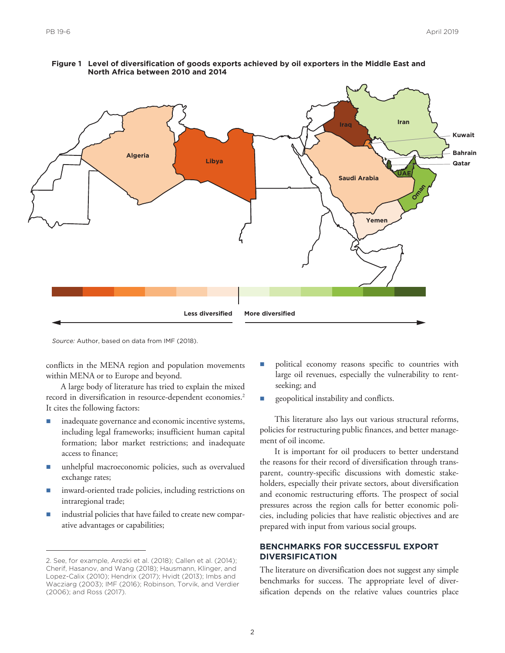

**Figure 1 Level of diversification of goods exports achieved by oil exporters in the Middle East and North Africa between 2010 and 2014**

*Source:* Author, based on data from IMF (2018).

conflicts in the MENA region and population movements within MENA or to Europe and beyond.

A large body of literature has tried to explain the mixed record in diversification in resource-dependent economies.<sup>2</sup> It cites the following factors:

- inadequate governance and economic incentive systems, including legal frameworks; insufficient human capital formation; labor market restrictions; and inadequate access to finance;
- unhelpful macroeconomic policies, such as overvalued exchange rates;
- inward-oriented trade policies, including restrictions on intraregional trade;
- industrial policies that have failed to create new comparative advantages or capabilities;
- n political economy reasons specific to countries with large oil revenues, especially the vulnerability to rentseeking; and
- **n** geopolitical instability and conflicts.

This literature also lays out various structural reforms, policies for restructuring public finances, and better management of oil income.

It is important for oil producers to better understand the reasons for their record of diversification through transparent, country-specific discussions with domestic stakeholders, especially their private sectors, about diversification and economic restructuring efforts. The prospect of social pressures across the region calls for better economic policies, including policies that have realistic objectives and are prepared with input from various social groups.

# **BENCHMARKS FOR SUCCESSFUL EXPORT DIVERSIFICATION**

The literature on diversification does not suggest any simple benchmarks for success. The appropriate level of diversification depends on the relative values countries place

<sup>2.</sup> See, for example, Arezki et al. (2018); Callen et al. (2014); Cherif, Hasanov, and Wang (2018); Hausmann, Klinger, and Lopez-Calix (2010); Hendrix (2017); Hvidt (2013); Imbs and Wacziarg (2003); IMF (2016); Robinson, Torvik, and Verdier (2006); and Ross (2017).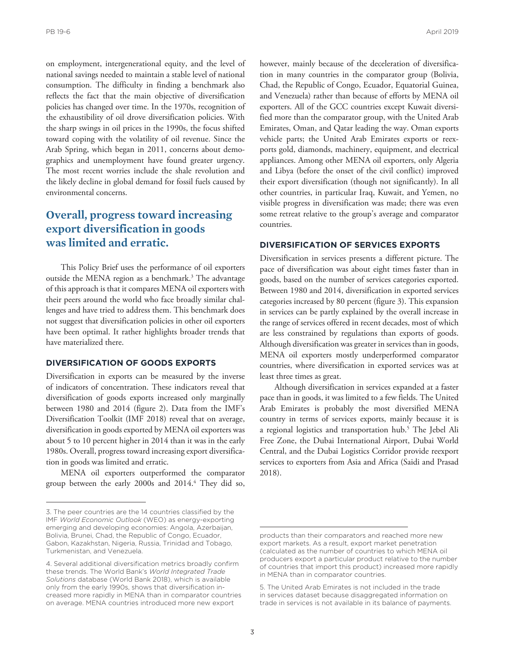on employment, intergenerational equity, and the level of national savings needed to maintain a stable level of national consumption. The difficulty in finding a benchmark also reflects the fact that the main objective of diversification policies has changed over time. In the 1970s, recognition of the exhaustibility of oil drove diversification policies. With the sharp swings in oil prices in the 1990s, the focus shifted toward coping with the volatility of oil revenue. Since the Arab Spring, which began in 2011, concerns about demographics and unemployment have found greater urgency. The most recent worries include the shale revolution and the likely decline in global demand for fossil fuels caused by environmental concerns.

# **Overall, progress toward increasing export diversification in goods was limited and erratic.**

This Policy Brief uses the performance of oil exporters outside the MENA region as a benchmark.<sup>3</sup> The advantage of this approach is that it compares MENA oil exporters with their peers around the world who face broadly similar challenges and have tried to address them. This benchmark does not suggest that diversification policies in other oil exporters have been optimal. It rather highlights broader trends that have materialized there.

# **DIVERSIFICATION OF GOODS EXPORTS**

Diversification in exports can be measured by the inverse of indicators of concentration. These indicators reveal that diversification of goods exports increased only marginally between 1980 and 2014 (figure 2). Data from the IMF's Diversification Toolkit (IMF 2018) reveal that on average, diversification in goods exported by MENA oil exporters was about 5 to 10 percent higher in 2014 than it was in the early 1980s. Overall, progress toward increasing export diversification in goods was limited and erratic.

MENA oil exporters outperformed the comparator group between the early 2000s and 2014.4 They did so, however, mainly because of the deceleration of diversification in many countries in the comparator group (Bolivia, Chad, the Republic of Congo, Ecuador, Equatorial Guinea, and Venezuela) rather than because of efforts by MENA oil exporters. All of the GCC countries except Kuwait diversified more than the comparator group, with the United Arab Emirates, Oman, and Qatar leading the way. Oman exports vehicle parts; the United Arab Emirates exports or reexports gold, diamonds, machinery, equipment, and electrical appliances. Among other MENA oil exporters, only Algeria and Libya (before the onset of the civil conflict) improved their export diversification (though not significantly). In all other countries, in particular Iraq, Kuwait, and Yemen, no visible progress in diversification was made; there was even some retreat relative to the group's average and comparator countries.

#### **DIVERSIFICATION OF SERVICES EXPORTS**

Diversification in services presents a different picture. The pace of diversification was about eight times faster than in goods, based on the number of services categories exported. Between 1980 and 2014, diversification in exported services categories increased by 80 percent (figure 3). This expansion in services can be partly explained by the overall increase in the range of services offered in recent decades, most of which are less constrained by regulations than exports of goods. Although diversification was greater in services than in goods, MENA oil exporters mostly underperformed comparator countries, where diversification in exported services was at least three times as great.

Although diversification in services expanded at a faster pace than in goods, it was limited to a few fields. The United Arab Emirates is probably the most diversified MENA country in terms of services exports, mainly because it is a regional logistics and transportation hub.<sup>5</sup> The Jebel Ali Free Zone, the Dubai International Airport, Dubai World Central, and the Dubai Logistics Corridor provide reexport services to exporters from Asia and Africa (Saidi and Prasad 2018).

<sup>3.</sup> The peer countries are the 14 countries classified by the IMF *World Economic Outlook* (WEO) as energy-exporting emerging and developing economies: Angola, Azerbaijan, Bolivia, Brunei, Chad, the Republic of Congo, Ecuador, Gabon, Kazakhstan, Nigeria, Russia, Trinidad and Tobago, Turkmenistan, and Venezuela.

<sup>4.</sup> Several additional diversification metrics broadly confirm these trends. The World Bank's *World Integrated Trade Solutions* database (World Bank 2018), which is available only from the early 1990s, shows that diversification increased more rapidly in MENA than in comparator countries on average. MENA countries introduced more new export

products than their comparators and reached more new export markets. As a result, export market penetration (calculated as the number of countries to which MENA oil producers export a particular product relative to the number of countries that import this product) increased more rapidly in MENA than in comparator countries.

<sup>5.</sup> The United Arab Emirates is not included in the trade in services dataset because disaggregated information on trade in services is not available in its balance of payments.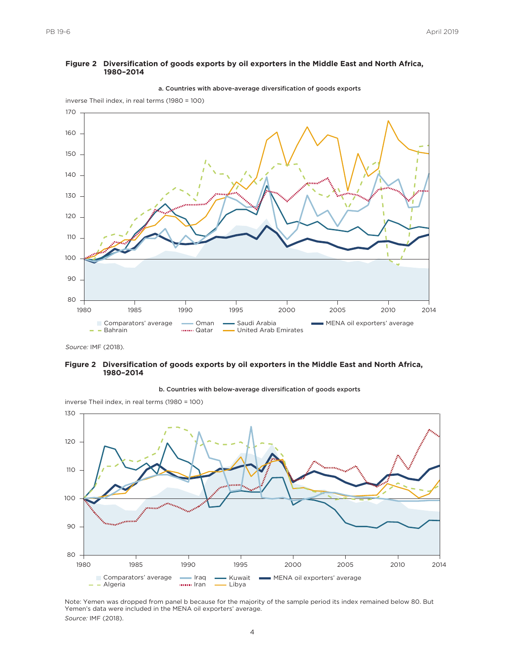

#### **Figure 2 Diversification of goods exports by oil exporters in the Middle East and North Africa, 1980–2014**

a. Countries with above-average diversification of goods exports

#### **Figure 2 Diversification of goods exports by oil exporters in the Middle East and North Africa, 1980–2014**



b. Countries with below-average diversification of goods exports

inverse Theil index, in real terms (1980 = 100)

Note: Yemen was dropped from panel b because for the majority of the sample period its index remained below 80. But Yemen's data were included in the MENA oil exporters' average. *Source:* IMF (2018).

*Source:* IMF (2018).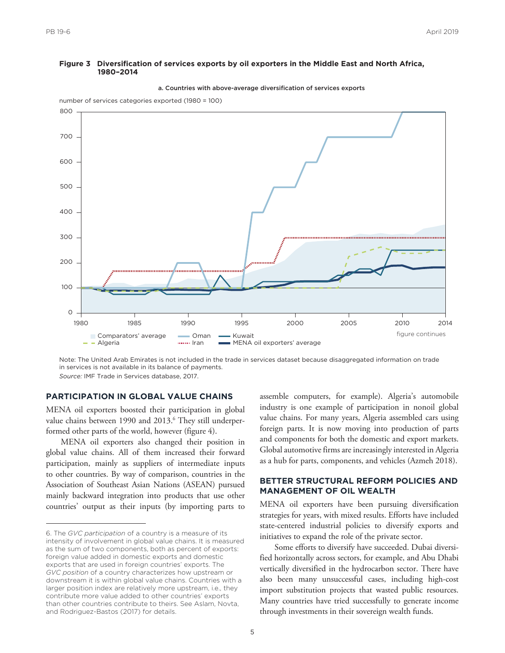#### **Figure 3 Diversification of services exports by oil exporters in the Middle East and North Africa, 1980–2014**





number of services categories exported (1980 = 100)

Note: The United Arab Emirates is not included in the trade in services dataset because disaggregated information on trade in services is not available in its balance of payments. *Source:* IMF Trade in Services database, 2017.

#### **PARTICIPATION IN GLOBAL VALUE CHAINS**

MENA oil exporters boosted their participation in global value chains between 1990 and 2013.<sup>6</sup> They still underperformed other parts of the world, however (figure 4).

MENA oil exporters also changed their position in global value chains. All of them increased their forward participation, mainly as suppliers of intermediate inputs to other countries. By way of comparison, countries in the Association of Southeast Asian Nations (ASEAN) pursued mainly backward integration into products that use other countries' output as their inputs (by importing parts to assemble computers, for example). Algeria's automobile industry is one example of participation in nonoil global value chains. For many years, Algeria assembled cars using foreign parts. It is now moving into production of parts and components for both the domestic and export markets. Global automotive firms are increasingly interested in Algeria as a hub for parts, components, and vehicles (Azmeh 2018).

### **BETTER STRUCTURAL REFORM POLICIES AND MANAGEMENT OF OIL WEALTH**

MENA oil exporters have been pursuing diversification strategies for years, with mixed results. Efforts have included state-centered industrial policies to diversify exports and initiatives to expand the role of the private sector.

Some efforts to diversify have succeeded. Dubai diversified horizontally across sectors, for example, and Abu Dhabi vertically diversified in the hydrocarbon sector. There have also been many unsuccessful cases, including high-cost import substitution projects that wasted public resources. Many countries have tried successfully to generate income through investments in their sovereign wealth funds.

<sup>6.</sup> The *GVC participation* of a country is a measure of its intensity of involvement in global value chains. It is measured as the sum of two components, both as percent of exports: foreign value added in domestic exports and domestic exports that are used in foreign countries' exports. The *GVC position* of a country characterizes how upstream or downstream it is within global value chains. Countries with a larger position index are relatively more upstream, i.e., they contribute more value added to other countries' exports than other countries contribute to theirs. See Aslam, Novta, and Rodriguez-Bastos (2017) for details.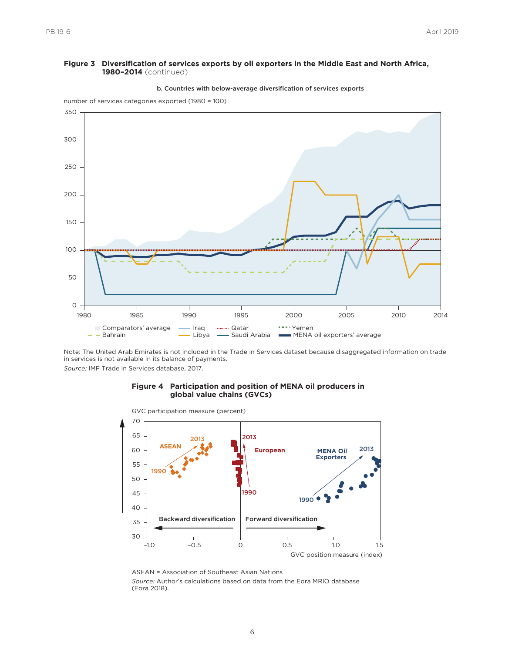#### **Figure 3 Diversification of services exports by oil exporters in the Middle East and North Africa, 1980–2014** (continued)



b. Countries with below-average diversification of services exports

Note: The United Arab Emirates is not included in the Trade in Services dataset because disaggregated information on trade in services is not available in its balance of payments. *Source:* IMF Trade in Services database, 2017.

#### **Figure 4 Participation and position of MENA oil producers in global value chains (GVCs)**



ASEAN = Association of Southeast Asian Nations *Source:* Author's calculations based on data from the Eora MRIO database (Eora 2018).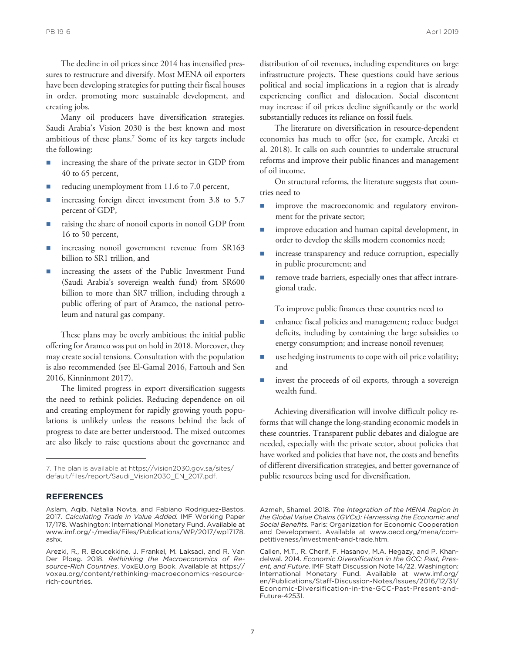The decline in oil prices since 2014 has intensified pressures to restructure and diversify. Most MENA oil exporters have been developing strategies for putting their fiscal houses in order, promoting more sustainable development, and creating jobs.

Many oil producers have diversification strategies. Saudi Arabia's Vision 2030 is the best known and most ambitious of these plans.<sup>7</sup> Some of its key targets include the following:

- increasing the share of the private sector in GDP from 40 to 65 percent,
- reducing unemployment from 11.6 to 7.0 percent,
- increasing foreign direct investment from 3.8 to 5.7 percent of GDP,
- raising the share of nonoil exports in nonoil GDP from 16 to 50 percent,
- increasing nonoil government revenue from SR163 billion to SR1 trillion, and
- increasing the assets of the Public Investment Fund (Saudi Arabia's sovereign wealth fund) from SR600 billion to more than SR7 trillion, including through a public offering of part of Aramco, the national petroleum and natural gas company.

These plans may be overly ambitious; the initial public offering for Aramco was put on hold in 2018. Moreover, they may create social tensions. Consultation with the population is also recommended (see El-Gamal 2016, Fattouh and Sen 2016, Kinninmont 2017).

The limited progress in export diversification suggests the need to rethink policies. Reducing dependence on oil and creating employment for rapidly growing youth populations is unlikely unless the reasons behind the lack of progress to date are better understood. The mixed outcomes are also likely to raise questions about the governance and

#### **REFERENCES**

distribution of oil revenues, including expenditures on large infrastructure projects. These questions could have serious political and social implications in a region that is already experiencing conflict and dislocation. Social discontent may increase if oil prices decline significantly or the world substantially reduces its reliance on fossil fuels.

The literature on diversification in resource-dependent economies has much to offer (see, for example, Arezki et al. 2018). It calls on such countries to undertake structural reforms and improve their public finances and management of oil income.

On structural reforms, the literature suggests that countries need to

- n improve the macroeconomic and regulatory environment for the private sector;
- n improve education and human capital development, in order to develop the skills modern economies need;
- increase transparency and reduce corruption, especially in public procurement; and
- remove trade barriers, especially ones that affect intraregional trade.

To improve public finances these countries need to

- enhance fiscal policies and management; reduce budget deficits, including by containing the large subsidies to energy consumption; and increase nonoil revenues;
- use hedging instruments to cope with oil price volatility; and
- invest the proceeds of oil exports, through a sovereign wealth fund.

Achieving diversification will involve difficult policy reforms that will change the long-standing economic models in these countries. Transparent public debates and dialogue are needed, especially with the private sector, about policies that have worked and policies that have not, the costs and benefits of different diversification strategies, and better governance of public resources being used for diversification.

<sup>7.</sup> [The plan is available at https://vision2030.gov.sa/sites/](https://vision2030.gov.sa/sites/default/files/report/Saudi_Vision2030_EN_2017.pdf) default/files/report/Saudi\_Vision2030\_EN\_2017.pdf.

Aslam, Aqib, Natalia Novta, and Fabiano Rodriguez-Bastos. 2017. *Calculating Trade in Value Added.* IMF Working Paper 17/178. Washington: International Monetary Fund. Available at [www.imf.org/~/media/Files/Publications/WP/2017/wp17178.](www.imf.org/~/media/Files/Publications/WP/2017/wp17178.ashx) ashx.

Arezki, R., R. Boucekkine, J. Frankel, M. Laksaci, and R. Van Der Ploeg. 2018. *Rethinking the Macroeconomics of Resource-Rich Countries*. VoxEU.org Book. Available at https:// [voxeu.org/content/rethinking-macroeconomics-resource](https://voxeu.org/content/rethinking-macroeconomics-resource-rich-countries)rich-countries.

Azmeh, Shamel. 2018. *The Integration of the MENA Region in the Global Value Chains (GVCs): Harnessing the Economic and Social Benefits*. Paris: Organization for Economic Cooperation [and Development. Available at www.oecd.org/mena/com](www.oecd.org/mena/competitiveness/investment-and-trade.htm)petitiveness/investment-and-trade.htm.

Callen, M.T., R. Cherif, F. Hasanov, M.A. Hegazy, and P. Khandelwal. 2014. *Economic Diversification in the GCC: Past, Present, and Future*. IMF Staff Discussion Note 14/22. Washington: International Monetary Fund. Available at www.imf.org/ [en/Publications/Staff-Discussion-Notes/Issues/2016/12/31/](www.imf.org/en/Publications/Staff-Discussion-Notes/Issues/2016/12/31/Economic-Diversification-in-the-GCC-Past-Present-and-Future-42531) Economic-Diversification-in-the-GCC-Past-Present-and-Future-42531.